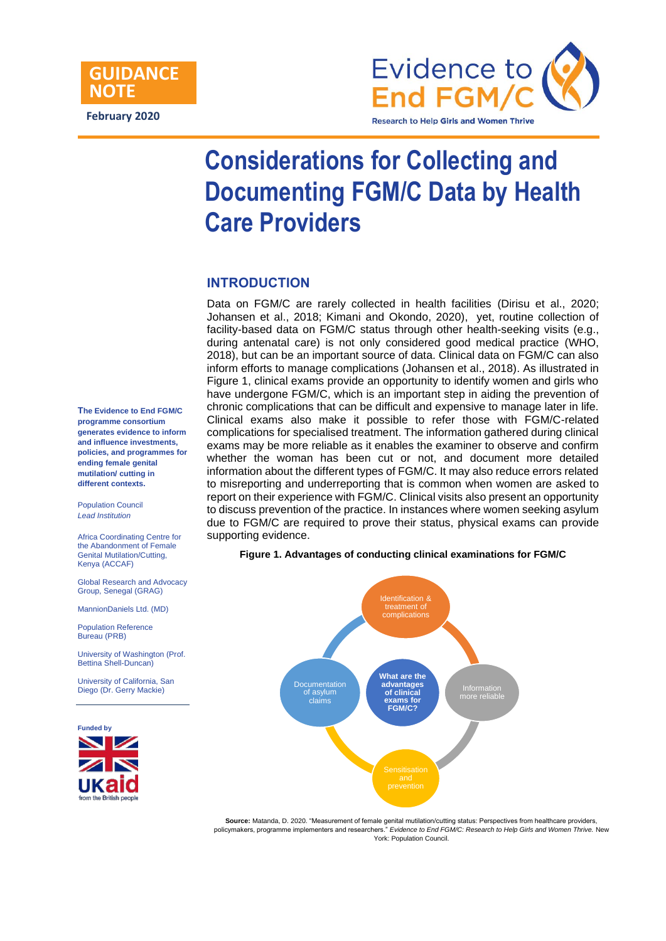

# **Considerations for Collecting and Documenting FGM/C Data by Health Care Providers**

## **INTRODUCTION**

Data on FGM/C are rarely collected in health facilities (Dirisu et al., 2020; Johansen et al., 2018; Kimani and Okondo, 2020), yet, routine collection of facility-based data on FGM/C status through other health-seeking visits (e.g., during antenatal care) is not only considered good medical practice (WHO, 2018), but can be an important source of data. Clinical data on FGM/C can also inform efforts to manage complications (Johansen et al., 2018). As illustrated in Figure 1, clinical exams provide an opportunity to identify women and girls who have undergone FGM/C, which is an important step in aiding the prevention of chronic complications that can be difficult and expensive to manage later in life. Clinical exams also make it possible to refer those with FGM/C-related complications for specialised treatment. The information gathered during clinical exams may be more reliable as it enables the examiner to observe and confirm whether the woman has been cut or not, and document more detailed information about the different types of FGM/C. It may also reduce errors related to misreporting and underreporting that is common when women are asked to report on their experience with FGM/C. Clinical visits also present an opportunity to discuss prevention of the practice. In instances where women seeking asylum due to FGM/C are required to prove their status, physical exams can provide supporting evidence.

**Figure 1. Advantages of conducting clinical examinations for FGM/C**



**Source:** Matanda, D. 2020. "Measurement of female genital mutilation/cutting status: Perspectives from healthcare providers, policymakers, programme implementers and researchers." *Evidence to End FGM/C: Research to Help Girls and Women Thrive.* New York: Population Council.

**The Evidence to End FGM/C programme consortium generates evidence to inform and influence investments, policies, and programmes for ending female genital mutilation/ cutting in different contexts.** 

Population Council *Lead Institution*

Africa Coordinating Centre for the Abandonment of Female Genital Mutilation/Cutting, Kenya (ACCAF)

Global Research and Advocacy Group, Senegal (GRAG)

MannionDaniels Ltd. (MD)

Population Reference Bureau (PRB)

University of Washington (Prof. Bettina Shell-Duncan)

University of California, San Diego (Dr. Gerry Mackie)

**Funded by** 

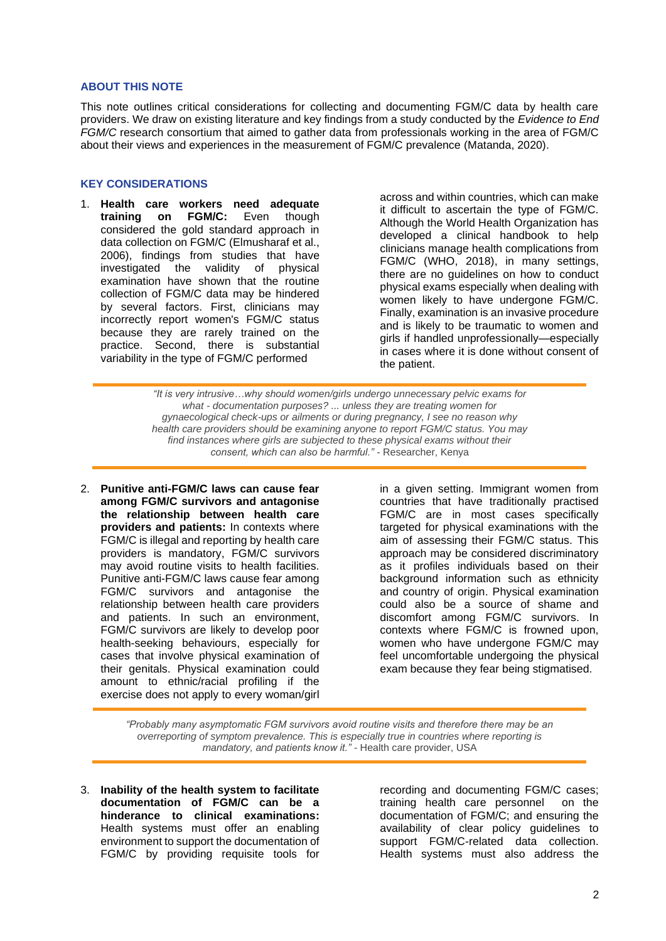#### **ABOUT THIS NOTE**

This note outlines critical considerations for collecting and documenting FGM/C data by health care providers. We draw on existing literature and key findings from a study conducted by the *Evidence to End FGM/C* research consortium that aimed to gather data from professionals working in the area of FGM/C about their views and experiences in the measurement of FGM/C prevalence (Matanda, 2020).

#### **KEY CONSIDERATIONS**

1. **Health care workers need adequate training on FGM/C:** Even though considered the gold standard approach in data collection on FGM/C (Elmusharaf et al., 2006), findings from studies that have investigated the validity of physical examination have shown that the routine collection of FGM/C data may be hindered by several factors. First, clinicians may incorrectly report women's FGM/C status because they are rarely trained on the practice. Second, there is substantial variability in the type of FGM/C performed

across and within countries, which can make it difficult to ascertain the type of FGM/C. Although the World Health Organization has developed a clinical handbook to help clinicians manage health complications from FGM/C (WHO, 2018), in many settings, there are no guidelines on how to conduct physical exams especially when dealing with women likely to have undergone FGM/C. Finally, examination is an invasive procedure and is likely to be traumatic to women and girls if handled unprofessionally—especially in cases where it is done without consent of the patient.

*"It is very intrusive…why should women/girls undergo unnecessary pelvic exams for what - documentation purposes? ... unless they are treating women for gynaecological check-ups or ailments or during pregnancy, I see no reason why health care providers should be examining anyone to report FGM/C status. You may find instances where girls are subjected to these physical exams without their consent, which can also be harmful." -* Researcher, Kenya

2. **Punitive anti-FGM/C laws can cause fear among FGM/C survivors and antagonise the relationship between health care providers and patients:** In contexts where FGM/C is illegal and reporting by health care providers is mandatory, FGM/C survivors may avoid routine visits to health facilities. Punitive anti-FGM/C laws cause fear among FGM/C survivors and antagonise the relationship between health care providers and patients. In such an environment, FGM/C survivors are likely to develop poor health-seeking behaviours, especially for cases that involve physical examination of their genitals. Physical examination could amount to ethnic/racial profiling if the exercise does not apply to every woman/girl

in a given setting. Immigrant women from countries that have traditionally practised FGM/C are in most cases specifically targeted for physical examinations with the aim of assessing their FGM/C status. This approach may be considered discriminatory as it profiles individuals based on their background information such as ethnicity and country of origin. Physical examination could also be a source of shame and discomfort among FGM/C survivors. In contexts where FGM/C is frowned upon, women who have undergone FGM/C may feel uncomfortable undergoing the physical exam because they fear being stigmatised.

*"Probably many asymptomatic FGM survivors avoid routine visits and therefore there may be an overreporting of symptom prevalence. This is especially true in countries where reporting is mandatory, and patients know it." -* Health care provider, USA

3. **Inability of the health system to facilitate documentation of FGM/C can be a hinderance to clinical examinations:** Health systems must offer an enabling environment to support the documentation of FGM/C by providing requisite tools for recording and documenting FGM/C cases; training health care personnel on the documentation of FGM/C; and ensuring the availability of clear policy guidelines to support FGM/C-related data collection. Health systems must also address the